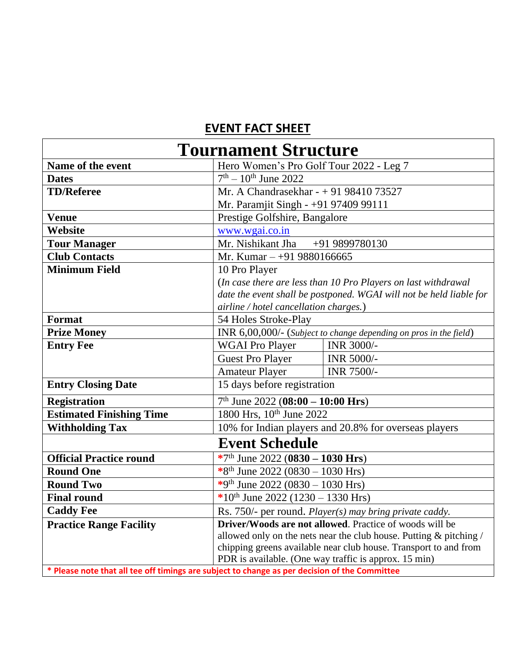## **EVENT FACT SHEET**

| <b>Tournament Structure</b>                                                                   |                                                                     |                                                                    |  |
|-----------------------------------------------------------------------------------------------|---------------------------------------------------------------------|--------------------------------------------------------------------|--|
| Name of the event                                                                             | Hero Women's Pro Golf Tour 2022 - Leg 7                             |                                                                    |  |
| <b>Dates</b>                                                                                  | $7th - 10th$ June 2022                                              |                                                                    |  |
| <b>TD/Referee</b>                                                                             | Mr. A Chandrasekhar - + 91 98410 73527                              |                                                                    |  |
|                                                                                               | Mr. Paramjit Singh - +91 97409 99111                                |                                                                    |  |
| <b>Venue</b>                                                                                  | Prestige Golfshire, Bangalore                                       |                                                                    |  |
| Website                                                                                       | www.wgai.co.in                                                      |                                                                    |  |
| <b>Tour Manager</b>                                                                           | Mr. Nishikant Jha<br>+91 9899780130                                 |                                                                    |  |
| <b>Club Contacts</b>                                                                          | Mr. Kumar $-+919880166665$                                          |                                                                    |  |
| <b>Minimum Field</b>                                                                          | 10 Pro Player                                                       |                                                                    |  |
|                                                                                               | (In case there are less than 10 Pro Players on last withdrawal      |                                                                    |  |
|                                                                                               | date the event shall be postponed. WGAI will not be held liable for |                                                                    |  |
|                                                                                               | airline / hotel cancellation charges.)                              |                                                                    |  |
| <b>Format</b>                                                                                 | 54 Holes Stroke-Play                                                |                                                                    |  |
| <b>Prize Money</b>                                                                            | INR 6,00,000/- (Subject to change depending on pros in the field)   |                                                                    |  |
| <b>Entry Fee</b>                                                                              | <b>WGAI Pro Player</b>                                              | INR 3000/-                                                         |  |
|                                                                                               | <b>Guest Pro Player</b>                                             | INR 5000/-                                                         |  |
|                                                                                               | <b>Amateur Player</b>                                               | <b>INR 7500/-</b>                                                  |  |
| <b>Entry Closing Date</b>                                                                     | 15 days before registration                                         |                                                                    |  |
| <b>Registration</b>                                                                           | $7th$ June 2022 (08:00 - 10:00 Hrs)                                 |                                                                    |  |
| <b>Estimated Finishing Time</b>                                                               | 1800 Hrs, 10 <sup>th</sup> June 2022                                |                                                                    |  |
| <b>Withholding Tax</b>                                                                        | 10% for Indian players and 20.8% for overseas players               |                                                                    |  |
| <b>Event Schedule</b>                                                                         |                                                                     |                                                                    |  |
| <b>Official Practice round</b>                                                                | *7 <sup>th</sup> June 2022 (0830 – 1030 Hrs)                        |                                                                    |  |
| <b>Round One</b>                                                                              | *8 <sup>th</sup> June 2022 (0830 – 1030 Hrs)                        |                                                                    |  |
| <b>Round Two</b>                                                                              | *9th June 2022 (0830 – 1030 Hrs)                                    |                                                                    |  |
| <b>Final round</b>                                                                            | *10 <sup>th</sup> June 2022 (1230 – 1330 Hrs)                       |                                                                    |  |
| <b>Caddy Fee</b>                                                                              | Rs. 750/- per round. <i>Player(s)</i> may bring private caddy.      |                                                                    |  |
| <b>Practice Range Facility</b>                                                                | <b>Driver/Woods are not allowed.</b> Practice of woods will be      |                                                                    |  |
|                                                                                               |                                                                     | allowed only on the nets near the club house. Putting & pitching / |  |
|                                                                                               | chipping greens available near club house. Transport to and from    |                                                                    |  |
|                                                                                               |                                                                     | PDR is available. (One way traffic is approx. 15 min)              |  |
| * Please note that all tee off timings are subject to change as per decision of the Committee |                                                                     |                                                                    |  |